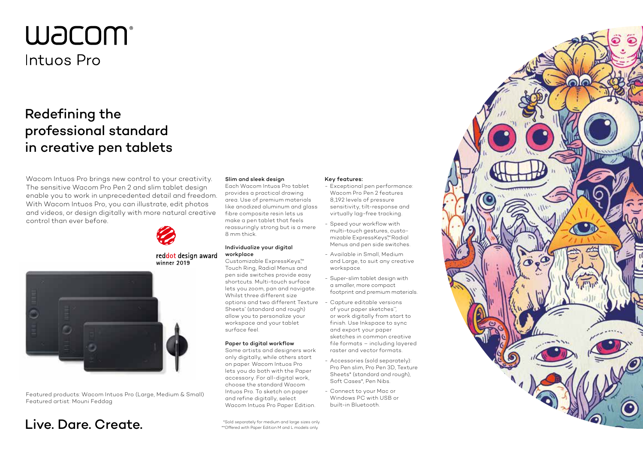# **W**JCOM® Intuos Pro

## Redefining the professional standard in creative pen tablets

Wacom Intuos Pro brings new control to your creativity. The sensitive Wacom Pro Pen 2 and slim tablet design enable you to work in unprecedented detail and freedom. With Wacom Intuos Pro, you can illustrate, edit photos and videos, or design digitally with more natural creative control than ever before.



#### reddot design award winner 2019



Featured products: Wacom Intuos Pro (Large, Medium & Small) Featured artist: Mouni Feddag

## Live. Dare. Create.  $\Box$

#### Slim and sleek design

Each Wacom Intuos Pro tablet provides a practical drawing area. Use of premium materials like anodized aluminum and glass fibre composite resin lets us make a pen tablet that feels reassuringly strong but is a mere 8 mm thick.

#### Individualize your digital workplace Customizable ExpressKeys™

Touch Ring, Radial Menus and pen side switches provide easy shortcuts. Multi-touch surface lets you zoom, pan and navigate. Whilst three different size options and two different Texture Sheets\* (standard and rough) allow you to personalize your workspace and your tablet surface feel.

#### Paper to digital workflow

Some artists and designers work only digitally, while others start on paper. Wacom Intuos Pro lets you do both with the Paper accessory. For all-digital work, choose the standard Wacom Intuos Pro. To sketch on paper and refine digitally, select Wacom Intuos Pro Paper Edition.

#### Key features:

- Exceptional pen performance: Wacom Pro Pen 2 features 8,192 levels of pressure sensitivity, tilt-response and virtually lag-free tracking.
- Speed your workflow with multi-touch gestures, customizable ExpressKeys™ Radial Menus and pen side switches.
- Available in Small, Medium and Large, to suit any creative workspace.
- Super-slim tablet design with a smaller, more compact footprint and premium materials.
- Capture editable versions of your paper sketches\*\*, or work digitally from start to finish. Use Inkspace to sync and export your paper sketches in common creative file formats – including layered raster and vector formats.
- Accessories (sold separately): Pro Pen slim, Pro Pen 3D, Texture Sheets\* (standard and rough), Soft Cases\*, Pen Nibs.
- Connect to your Mac or Windows PC with USB or built-in Bluetooth.